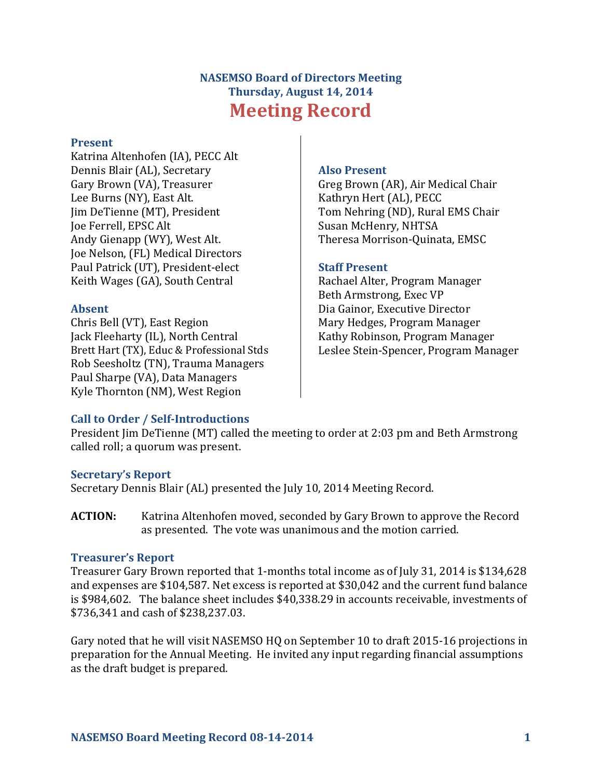# **NASEMSO Board of Directors Meeting Thursday, August 14, 2014 Meeting Record**

#### **Present**

Katrina Altenhofen (IA), PECC Alt Dennis Blair (AL), Secretary Gary Brown (VA), Treasurer Lee Burns (NY), East Alt. Jim DeTienne (MT), President Joe Ferrell, EPSC Alt Andy Gienapp (WY), West Alt. Joe Nelson, (FL) Medical Directors Paul Patrick (UT), President-elect Keith Wages (GA), South Central

#### **Absent**

Chris Bell (VT), East Region Jack Fleeharty (IL), North Central Brett Hart (TX), Educ & Professional Stds Rob Seesholtz (TN), Trauma Managers Paul Sharpe (VA), Data Managers Kyle Thornton (NM), West Region

#### **Also Present**

Greg Brown (AR), Air Medical Chair Kathryn Hert (AL), PECC Tom Nehring (ND), Rural EMS Chair Susan McHenry, NHTSA Theresa Morrison-Quinata, EMSC

#### **Staff Present**

Rachael Alter, Program Manager Beth Armstrong, Exec VP Dia Gainor, Executive Director Mary Hedges, Program Manager Kathy Robinson, Program Manager Leslee Stein-Spencer, Program Manager

## **Call to Order / Self-Introductions**

President Jim DeTienne (MT) called the meeting to order at 2:03 pm and Beth Armstrong called roll; a quorum was present.

#### **Secretary's Report**

Secretary Dennis Blair (AL) presented the July 10, 2014 Meeting Record.

**ACTION:** Katrina Altenhofen moved, seconded by Gary Brown to approve the Record as presented. The vote was unanimous and the motion carried.

#### **Treasurer's Report**

Treasurer Gary Brown reported that 1-months total income as of July 31, 2014 is \$134,628 and expenses are \$104,587. Net excess is reported at \$30,042 and the current fund balance is \$984,602. The balance sheet includes \$40,338.29 in accounts receivable, investments of \$736,341 and cash of \$238,237.03.

Gary noted that he will visit NASEMSO HQ on September 10 to draft 2015-16 projections in preparation for the Annual Meeting. He invited any input regarding financial assumptions as the draft budget is prepared.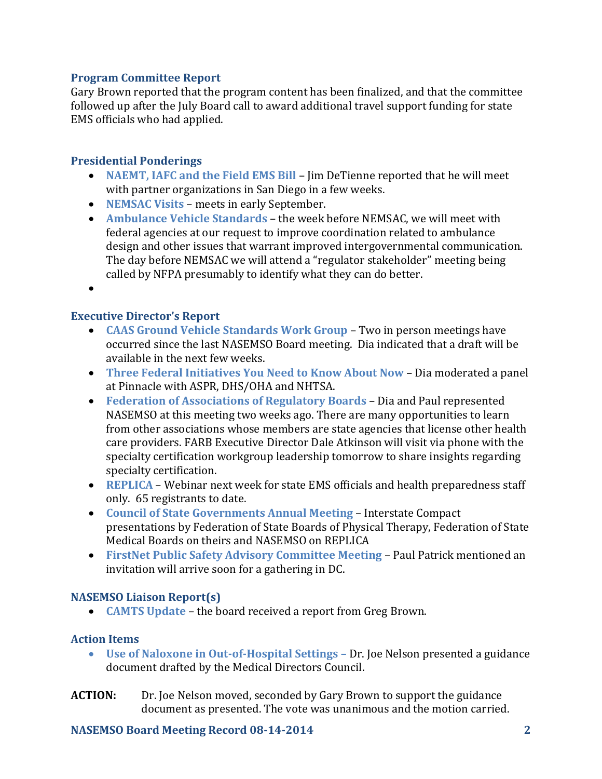## **Program Committee Report**

Gary Brown reported that the program content has been finalized, and that the committee followed up after the July Board call to award additional travel support funding for state EMS officials who had applied.

# **Presidential Ponderings**

- **NAEMT, IAFC and the Field EMS Bill** Jim DeTienne reported that he will meet with partner organizations in San Diego in a few weeks.
- **NEMSAC Visits** meets in early September.
- **Ambulance Vehicle Standards** the week before NEMSAC, we will meet with federal agencies at our request to improve coordination related to ambulance design and other issues that warrant improved intergovernmental communication. The day before NEMSAC we will attend a "regulator stakeholder" meeting being called by NFPA presumably to identify what they can do better.
- $\bullet$

## **Executive Director's Report**

- **CAAS Ground Vehicle Standards Work Group** Two in person meetings have occurred since the last NASEMSO Board meeting. Dia indicated that a draft will be available in the next few weeks.
- **Three Federal Initiatives You Need to Know About Now** Dia moderated a panel at Pinnacle with ASPR, DHS/OHA and NHTSA.
- **Federation of Associations of Regulatory Boards** Dia and Paul represented NASEMSO at this meeting two weeks ago. There are many opportunities to learn from other associations whose members are state agencies that license other health care providers. FARB Executive Director Dale Atkinson will visit via phone with the specialty certification workgroup leadership tomorrow to share insights regarding specialty certification.
- **REPLICA** Webinar next week for state EMS officials and health preparedness staff only. 65 registrants to date.
- **Council of State Governments Annual Meeting**  Interstate Compact presentations by Federation of State Boards of Physical Therapy, Federation of State Medical Boards on theirs and NASEMSO on REPLICA
- **FirstNet Public Safety Advisory Committee Meeting**  Paul Patrick mentioned an invitation will arrive soon for a gathering in DC.

## **NASEMSO Liaison Report(s)**

**CAMTS Update** – the board received a report from Greg Brown.

## **Action Items**

- **Use of Naloxone in Out-of-Hospital Settings –** Dr. Joe Nelson presented a guidance document drafted by the Medical Directors Council.
- **ACTION:** Dr. Joe Nelson moved, seconded by Gary Brown to support the guidance document as presented. The vote was unanimous and the motion carried.

## **NASEMSO Board Meeting Record 08-14-2014 2**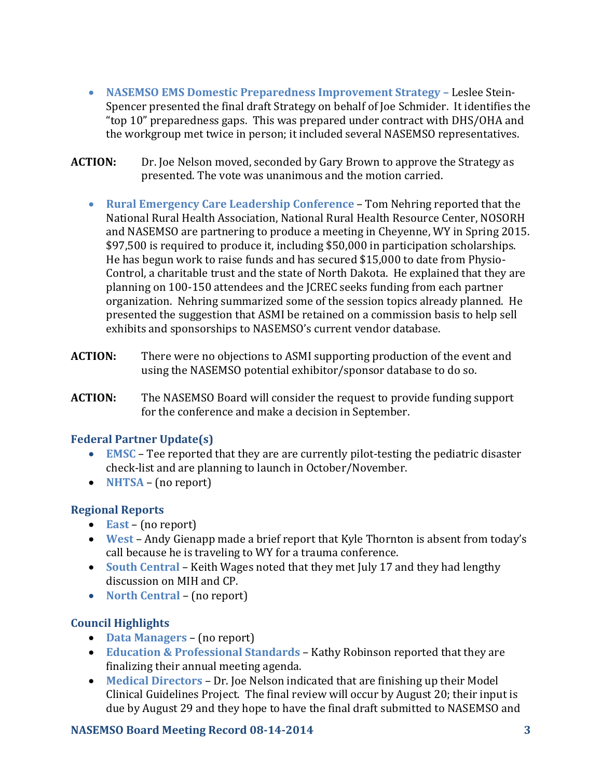- **NASEMSO EMS Domestic Preparedness Improvement Strategy Leslee Stein-**Spencer presented the final draft Strategy on behalf of Joe Schmider. It identifies the "top 10" preparedness gaps. This was prepared under contract with DHS/OHA and the workgroup met twice in person; it included several NASEMSO representatives.
- **ACTION:** Dr. Joe Nelson moved, seconded by Gary Brown to approve the Strategy as presented. The vote was unanimous and the motion carried.
	- **Rural Emergency Care Leadership Conference** Tom Nehring reported that the National Rural Health Association, National Rural Health Resource Center, NOSORH and NASEMSO are partnering to produce a meeting in Cheyenne, WY in Spring 2015. \$97,500 is required to produce it, including \$50,000 in participation scholarships. He has begun work to raise funds and has secured \$15,000 to date from Physio-Control, a charitable trust and the state of North Dakota. He explained that they are planning on 100-150 attendees and the JCREC seeks funding from each partner organization. Nehring summarized some of the session topics already planned. He presented the suggestion that ASMI be retained on a commission basis to help sell exhibits and sponsorships to NASEMSO's current vendor database.
- **ACTION:** There were no objections to ASMI supporting production of the event and using the NASEMSO potential exhibitor/sponsor database to do so.
- **ACTION:** The NASEMSO Board will consider the request to provide funding support for the conference and make a decision in September.

## **Federal Partner Update(s)**

- **EMSC** Tee reported that they are are currently pilot-testing the pediatric disaster check-list and are planning to launch in October/November.
- **NHTSA** (no report)

# **Regional Reports**

- **East** (no report)
- **West**  Andy Gienapp made a brief report that Kyle Thornton is absent from today's call because he is traveling to WY for a trauma conference.
- **South Central**  Keith Wages noted that they met July 17 and they had lengthy discussion on MIH and CP.
- North Central (no report)

# **Council Highlights**

- **Data Managers** (no report)
- **Education & Professional Standards** Kathy Robinson reported that they are finalizing their annual meeting agenda.
- **Medical Directors** Dr. Joe Nelson indicated that are finishing up their Model Clinical Guidelines Project. The final review will occur by August 20; their input is due by August 29 and they hope to have the final draft submitted to NASEMSO and

# **NASEMSO Board Meeting Record 08-14-2014 3**